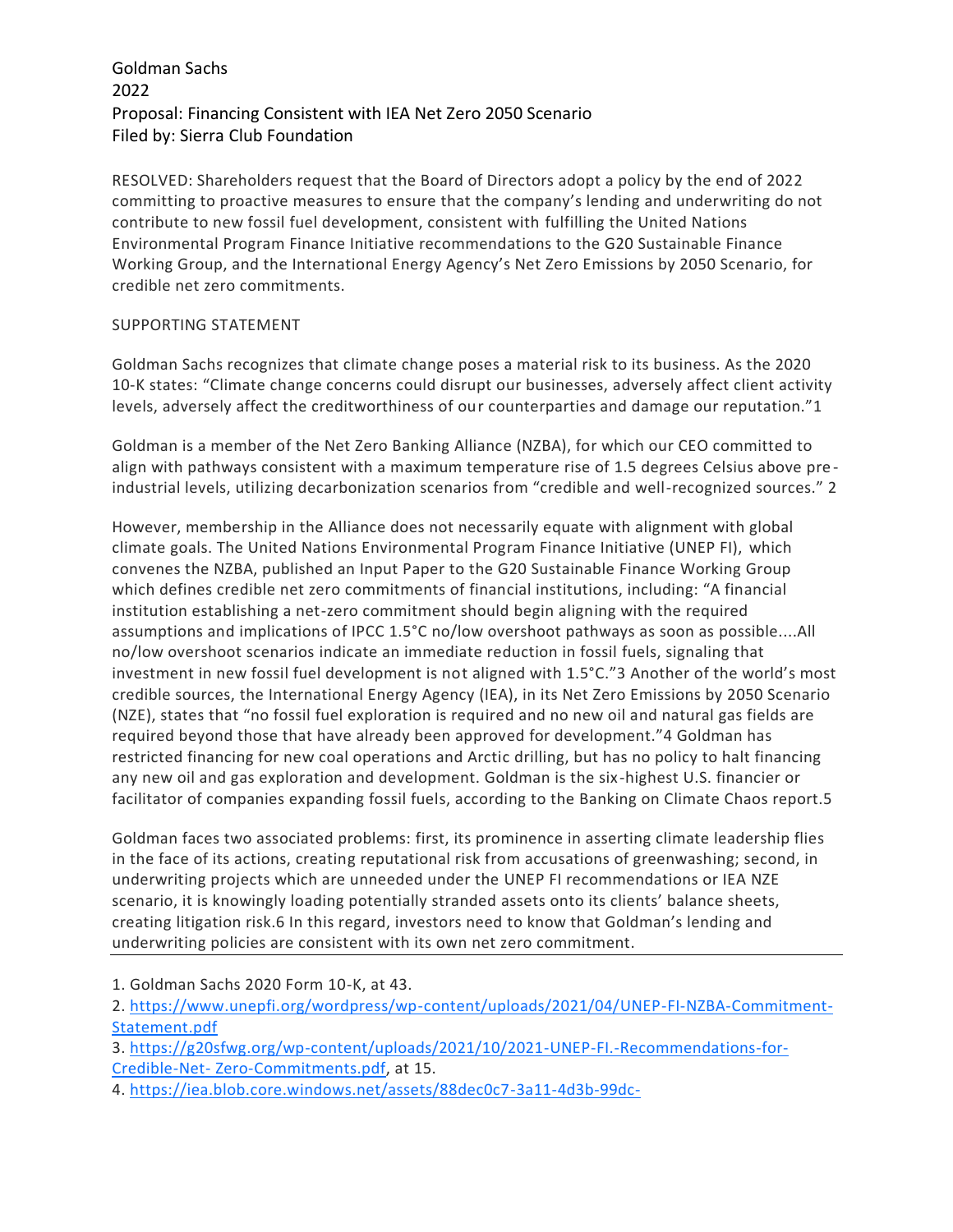## Goldman Sachs 2022 Proposal: Financing Consistent with IEA Net Zero 2050 Scenario Filed by: Sierra Club Foundation

RESOLVED: Shareholders request that the Board of Directors adopt a policy by the end of 2022 committing to proactive measures to ensure that the company's lending and underwriting do not contribute to new fossil fuel development, consistent with fulfilling the United Nations Environmental Program Finance Initiative recommendations to the G20 Sustainable Finance Working Group, and the International Energy Agency's Net Zero Emissions by 2050 Scenario, for credible net zero commitments.

## SUPPORTING STATEMENT

Goldman Sachs recognizes that climate change poses a material risk to its business. As the 2020 10-K states: "Climate change concerns could disrupt our businesses, adversely affect client activity levels, adversely affect the creditworthiness of our counterparties and damage our reputation."1

Goldman is a member of the Net Zero Banking Alliance (NZBA), for which our CEO committed to align with pathways consistent with a maximum temperature rise of 1.5 degrees Celsius above pre industrial levels, utilizing decarbonization scenarios from "credible and well-recognized sources." 2

However, membership in the Alliance does not necessarily equate with alignment with global climate goals. The United Nations Environmental Program Finance Initiative (UNEP FI), which convenes the NZBA, published an Input Paper to the G20 Sustainable Finance Working Group which defines credible net zero commitments of financial institutions, including: "A financial institution establishing a net-zero commitment should begin aligning with the required assumptions and implications of IPCC 1.5°C no/low overshoot pathways as soon as possible....All no/low overshoot scenarios indicate an immediate reduction in fossil fuels, signaling that investment in new fossil fuel development is not aligned with 1.5°C."3 Another of the world's most credible sources, the International Energy Agency (IEA), in its Net Zero Emissions by 2050 Scenario (NZE), states that "no fossil fuel exploration is required and no new oil and natural gas fields are required beyond those that have already been approved for development."4 Goldman has restricted financing for new coal operations and Arctic drilling, but has no policy to halt financing any new oil and gas exploration and development. Goldman is the six-highest U.S. financier or facilitator of companies expanding fossil fuels, according to the Banking on Climate Chaos report.5

Goldman faces two associated problems: first, its prominence in asserting climate leadership flies in the face of its actions, creating reputational risk from accusations of greenwashing; second, in underwriting projects which are unneeded under the UNEP FI recommendations or IEA NZE scenario, it is knowingly loading potentially stranded assets onto its clients' balance sheets, creating litigation risk.6 In this regard, investors need to know that Goldman's lending and underwriting policies are consistent with its own net zero commitment.

1. Goldman Sachs 2020 Form 10-K, at 43.

2. [https://www.unepfi.org/wordpress/wp-content/uploads/2021/04/UNEP-FI-NZBA-Commitment-](https://www.unepfi.org/wordpress/wp-content/uploads/2021/04/UNEP-FI-NZBA-Commitment-Statement.pdf)[Statement.pdf](https://www.unepfi.org/wordpress/wp-content/uploads/2021/04/UNEP-FI-NZBA-Commitment-Statement.pdf)

3. [https://g20sfwg.org/wp-content/uploads/2021/10/2021-UNEP-FI.-Recommendations-for-](https://g20sfwg.org/wp-content/uploads/2021/10/2021-UNEP-FI.-Recommendations-for-Credible-Net-%20Zero-Commitments.pdf)Credible-Net- [Zero-Commitments.pdf,](https://g20sfwg.org/wp-content/uploads/2021/10/2021-UNEP-FI.-Recommendations-for-Credible-Net-%20Zero-Commitments.pdf) at 15.

4. [https://iea.blob.core.windows.net/assets/88dec0c7-3a11-4d3b-99dc-](https://iea.blob.core.windows.net/assets/88dec0c7-3a11-4d3b-99dc-8323ebfb388b/WorldEnergyOutlook2021.pdf)